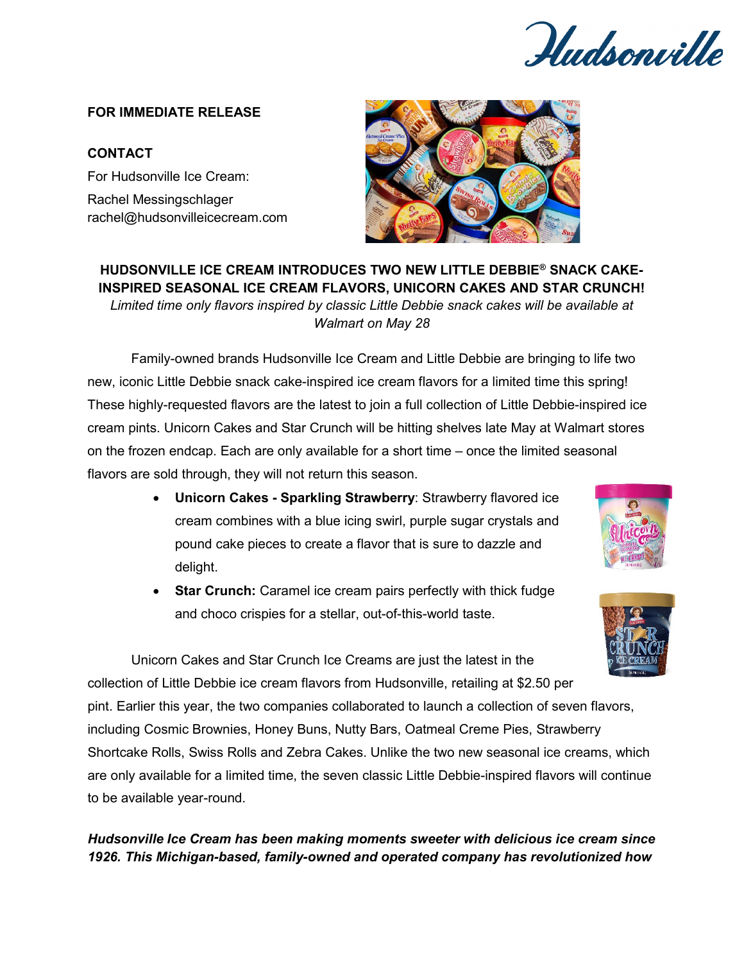Hudsonville

## **FOR IMMEDIATE RELEASE**

## **CONTACT**

For Hudsonville Ice Cream: Rachel Messingschlager rachel@hudsonvilleicecream.com



**HUDSONVILLE ICE CREAM INTRODUCES TWO NEW LITTLE DEBBIE® SNACK CAKE-INSPIRED SEASONAL ICE CREAM FLAVORS, UNICORN CAKES AND STAR CRUNCH!** *Limited time only flavors inspired by classic Little Debbie snack cakes will be available at Walmart on May 28*

Family-owned brands Hudsonville Ice Cream and Little Debbie are bringing to life two new, iconic Little Debbie snack cake-inspired ice cream flavors for a limited time this spring! These highly-requested flavors are the latest to join a full collection of Little Debbie-inspired ice cream pints. Unicorn Cakes and Star Crunch will be hitting shelves late May at Walmart stores on the frozen endcap. Each are only available for a short time – once the limited seasonal flavors are sold through, they will not return this season.

- **Unicorn Cakes - Sparkling Strawberry**: Strawberry flavored ice cream combines with a blue icing swirl, purple sugar crystals and pound cake pieces to create a flavor that is sure to dazzle and delight.
- **Star Crunch:** Caramel ice cream pairs perfectly with thick fudge and choco crispies for a stellar, out-of-this-world taste.

Unicorn Cakes and Star Crunch Ice Creams are just the latest in the collection of Little Debbie ice cream flavors from Hudsonville, retailing at \$2.50 per pint. Earlier this year, the two companies collaborated to launch a collection of seven flavors, including Cosmic Brownies, Honey Buns, Nutty Bars, Oatmeal Creme Pies, Strawberry Shortcake Rolls, Swiss Rolls and Zebra Cakes. Unlike the two new seasonal ice creams, which are only available for a limited time, the seven classic Little Debbie-inspired flavors will continue to be available year-round.

## *Hudsonville Ice Cream has been making moments sweeter with delicious ice cream since 1926. This Michigan-based, family-owned and operated company has revolutionized how*